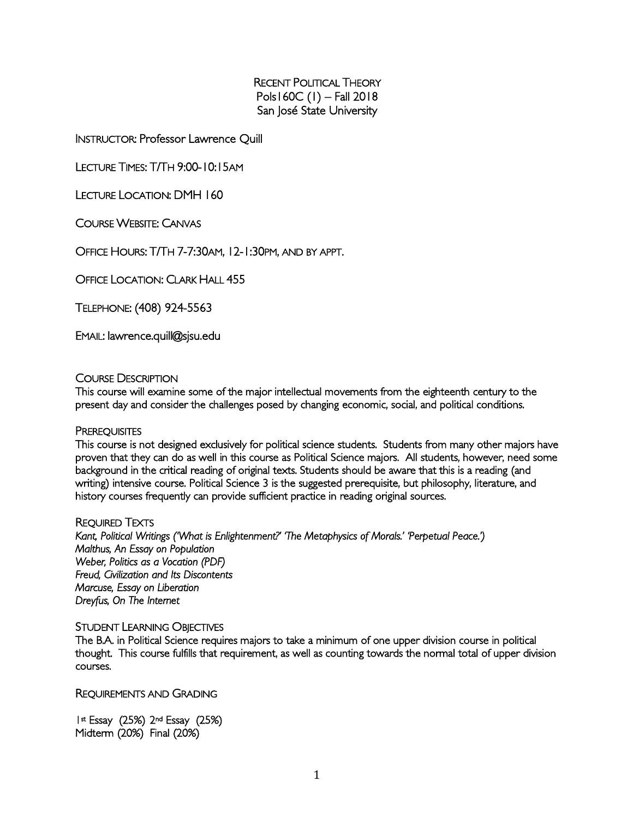RECENT POLITICAL THEORY Pols160C (1) – Fall 2018 San José State University

INSTRUCTOR: Professor Lawrence Quill

LECTURE TIMES: T/TH 9:00-10:15AM

LECTURE LOCATION: DMH 160

COURSE WEBSITE: CANVAS

OFFICE HOURS: T/TH 7-7:30AM, 12-1:30PM, AND BY APPT.

OFFICE LOCATION: CLARK HALL 455

TELEPHONE: (408) 924-5563

EMAIL: lawrence.quill@sjsu.edu

#### COURSE DESCRIPTION

This course will examine some of the major intellectual movements from the eighteenth century to the present day and consider the challenges posed by changing economic, social, and political conditions.

#### **PREREQUISITES**

This course is not designed exclusively for political science students. Students from many other majors have proven that they can do as well in this course as Political Science majors. All students, however, need some background in the critical reading of original texts. Students should be aware that this is a reading (and writing) intensive course. Political Science 3 is the suggested prerequisite, but philosophy, literature, and history courses frequently can provide sufficient practice in reading original sources.

#### REQUIRED TEXTS

*Kant, Political Writings ('What is Enlightenment?' 'The Metaphysics of Morals.' 'Perpetual Peace.') Malthus, An Essay on Population Weber, Politics as a Vocation (PDF) Freud, Civilization and Its Discontents Marcuse, Essay on Liberation Dreyfus, On The Internet* 

#### STUDENT LEARNING OBJECTIVES

The B.A. in Political Science requires majors to take a minimum of one upper division course in political thought. This course fulfills that requirement, as well as counting towards the normal total of upper division courses.

REQUIREMENTS AND GRADING

1st Essay (25%) 2nd Essay (25%) Midterm (20%) Final (20%)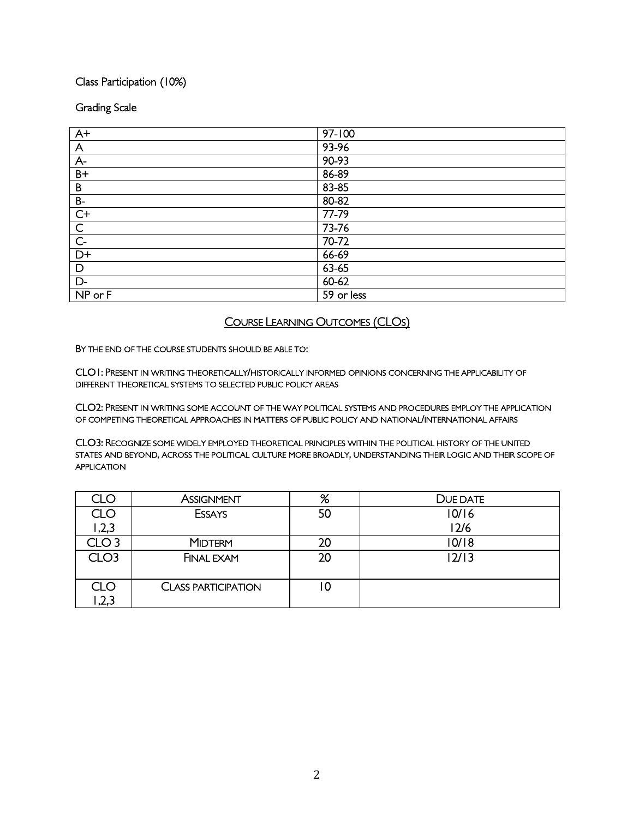## Class Participation (10%)

## Grading Scale

| $\overline{A^+}$ | $97 - 100$ |
|------------------|------------|
| $\overline{A}$   | 93-96      |
| $A-$             | 90-93      |
| $B+$             | 86-89      |
| $\mathsf B$      | 83-85      |
| $B-$             | 80-82      |
| $C+$             | 77-79      |
| $\overline{C}$   | 73-76      |
| $\overline{C}$   | 70-72      |
| $D+$             | 66-69      |
| D                | $63 - 65$  |
| D-               | 60-62      |
| NP or F          | 59 or less |

## COURSE LEARNING OUTCOMES (CLOS)

BY THE END OF THE COURSE STUDENTS SHOULD BE ABLE TO:

CLO1: PRESENT IN WRITING THEORETICALLY/HISTORICALLY INFORMED OPINIONS CONCERNING THE APPLICABILITY OF DIFFERENT THEORETICAL SYSTEMS TO SELECTED PUBLIC POLICY AREAS

CLO2: PRESENT IN WRITING SOME ACCOUNT OF THE WAY POLITICAL SYSTEMS AND PROCEDURES EMPLOY THE APPLICATION OF COMPETING THEORETICAL APPROACHES IN MATTERS OF PUBLIC POLICY AND NATIONAL/INTERNATIONAL AFFAIRS

CLO3: RECOGNIZE SOME WIDELY EMPLOYED THEORETICAL PRINCIPLES WITHIN THE POLITICAL HISTORY OF THE UNITED STATES AND BEYOND, ACROSS THE POLITICAL CULTURE MORE BROADLY, UNDERSTANDING THEIR LOGIC AND THEIR SCOPE OF APPLICATION

| CLC              | <b>ASSIGNMENT</b>          | %  | DUE DATE |
|------------------|----------------------------|----|----------|
| CLO              | <b>ESSAYS</b>              | 50 | 10/16    |
| 2,3              |                            |    | 12/6     |
| CLO <sub>3</sub> | <b>MIDTERM</b>             | 20 | 10/18    |
| CLO <sub>3</sub> | <b>FINAL EXAM</b>          | 20 | 2/3      |
| CLO<br>,2,3      | <b>CLASS PARTICIPATION</b> | 0  |          |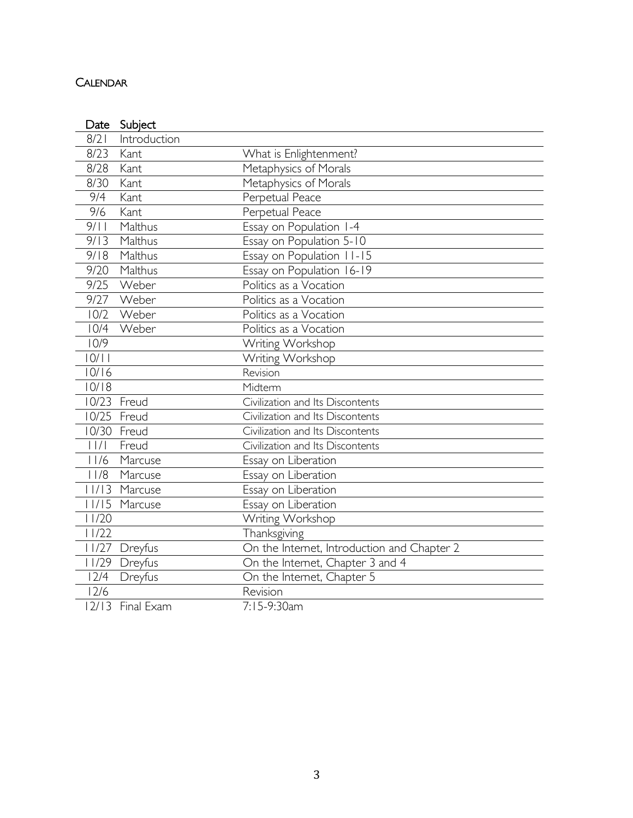# CALENDAR

|                                       | Date Subject     |                                             |
|---------------------------------------|------------------|---------------------------------------------|
| 8/21                                  | Introduction     |                                             |
| 8/23                                  | Kant             | What is Enlightenment?                      |
| 8/28                                  | Kant             | Metaphysics of Morals                       |
| 8/30                                  | Kant             | Metaphysics of Morals                       |
| 9/4                                   | Kant             | Perpetual Peace                             |
| 9/6                                   | Kant             | Perpetual Peace                             |
| 9/11                                  | Malthus          | Essay on Population 1-4                     |
| 9/13                                  | Malthus          | Essay on Population 5-10                    |
| 9/18                                  | Malthus          | Essay on Population 11-15                   |
| 9/20                                  | Malthus          | Essay on Population 16-19                   |
| 9/25                                  | Weber            | Politics as a Vocation                      |
| 9/27                                  | Weber            | Politics as a Vocation                      |
| 10/2                                  | Weber            | Politics as a Vocation                      |
| 10/4                                  | Weber            | Politics as a Vocation                      |
| 10/9                                  |                  | Writing Workshop                            |
| 10/11                                 |                  | Writing Workshop                            |
| 10/16                                 |                  | Revision                                    |
| 10/18                                 |                  | Midterm                                     |
|                                       | 10/23 Freud      | Civilization and Its Discontents            |
| 10/25                                 | Freud            | Civilization and Its Discontents            |
|                                       | 10/30 Freud      | Civilization and Its Discontents            |
| $\left  \ \right  / \left  \ \right $ | Freud            | Civilization and Its Discontents            |
| 11/6                                  | Marcuse          | Essay on Liberation                         |
| 11/8                                  | Marcuse          | Essay on Liberation                         |
| 11/13                                 | Marcuse          | Essay on Liberation                         |
|                                       | 11/15 Marcuse    | Essay on Liberation                         |
| 11/20                                 |                  | Writing Workshop                            |
| 11/22                                 |                  | Thanksgiving                                |
|                                       | 11/27 Dreyfus    | On the Internet, Introduction and Chapter 2 |
|                                       | 11/29 Dreyfus    | On the Internet, Chapter 3 and 4            |
| 12/4                                  | Dreyfus          | On the Internet, Chapter 5                  |
| 12/6                                  |                  | Revision                                    |
|                                       | 12/13 Final Exam | 7:15-9:30am                                 |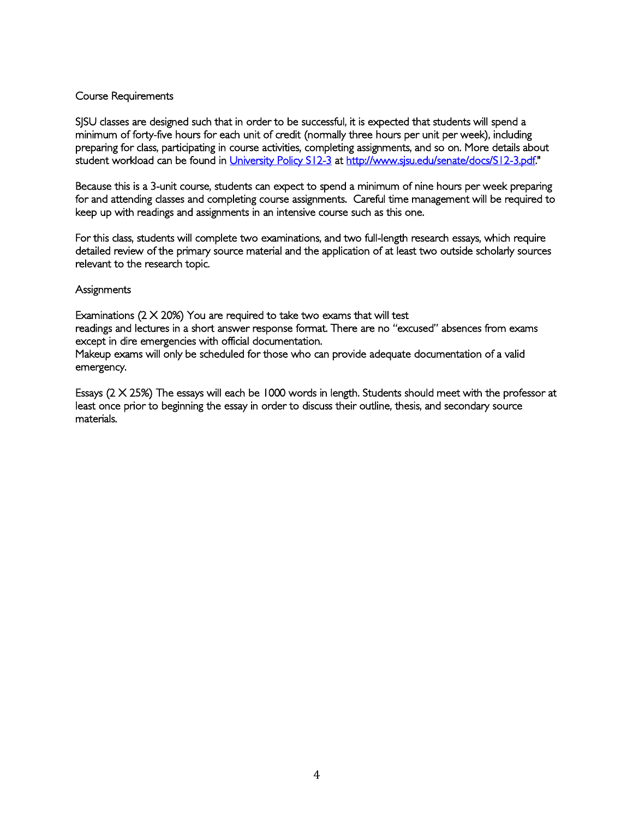## Course Requirements

SJSU classes are designed such that in order to be successful, it is expected that students will spend a minimum of forty-five hours for each unit of credit (normally three hours per unit per week), including preparing for class, participating in course activities, completing assignments, and so on. More details about student workload can be found in University Policy S12-3 at http://www.sjsu.edu/senate/docs/S12-3.pdf."

Because this is a 3-unit course, students can expect to spend a minimum of nine hours per week preparing for and attending classes and completing course assignments. Careful time management will be required to keep up with readings and assignments in an intensive course such as this one.

For this class, students will complete two examinations, and two full-length research essays, which require detailed review of the primary source material and the application of at least two outside scholarly sources relevant to the research topic.

#### **Assignments**

Examinations  $(2 \times 20\%)$  You are required to take two exams that will test readings and lectures in a short answer response format. There are no "excused" absences from exams except in dire emergencies with official documentation. Makeup exams will only be scheduled for those who can provide adequate documentation of a valid emergency.

Essays (2 X 25%) The essays will each be 1000 words in length. Students should meet with the professor at least once prior to beginning the essay in order to discuss their outline, thesis, and secondary source materials.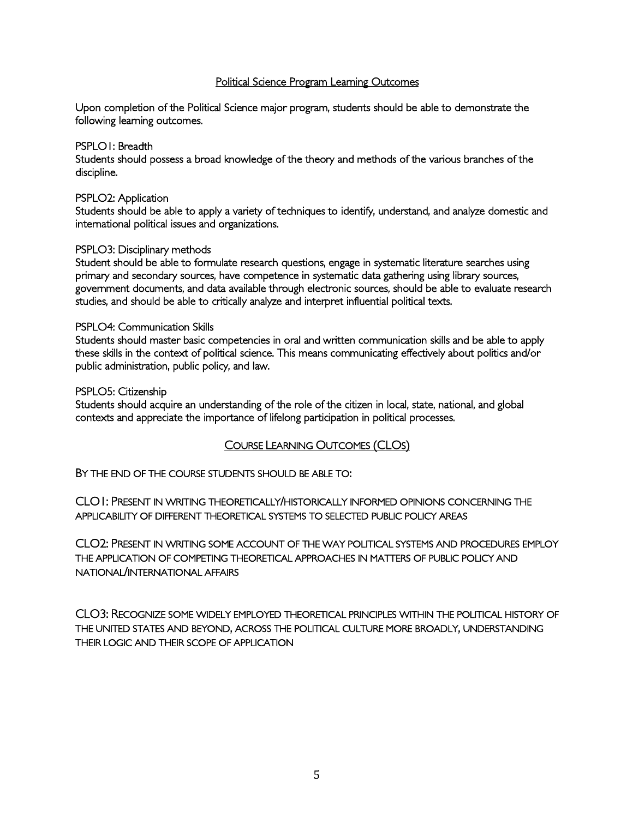## Political Science Program Learning Outcomes

Upon completion of the Political Science major program, students should be able to demonstrate the following learning outcomes.

#### PSPLO1: Breadth

Students should possess a broad knowledge of the theory and methods of the various branches of the discipline.

#### PSPLO2: Application

Students should be able to apply a variety of techniques to identify, understand, and analyze domestic and international political issues and organizations.

#### PSPLO3: Disciplinary methods

Student should be able to formulate research questions, engage in systematic literature searches using primary and secondary sources, have competence in systematic data gathering using library sources, government documents, and data available through electronic sources, should be able to evaluate research studies, and should be able to critically analyze and interpret influential political texts.

#### PSPLO4: Communication Skills

Students should master basic competencies in oral and written communication skills and be able to apply these skills in the context of political science. This means communicating effectively about politics and/or public administration, public policy, and law.

#### PSPLO5: Citizenship

Students should acquire an understanding of the role of the citizen in local, state, national, and global contexts and appreciate the importance of lifelong participation in political processes.

#### COURSE LEARNING OUTCOMES (CLOS)

BY THE END OF THE COURSE STUDENTS SHOULD BE ABLE TO:

CLO1: PRESENT IN WRITING THEORETICALLY/HISTORICALLY INFORMED OPINIONS CONCERNING THE APPLICABILITY OF DIFFERENT THEORETICAL SYSTEMS TO SELECTED PUBLIC POLICY AREAS

CLO2: PRESENT IN WRITING SOME ACCOUNT OF THE WAY POLITICAL SYSTEMS AND PROCEDURES EMPLOY THE APPLICATION OF COMPETING THEORETICAL APPROACHES IN MATTERS OF PUBLIC POLICY AND NATIONAL/INTERNATIONAL AFFAIRS

CLO3: RECOGNIZE SOME WIDELY EMPLOYED THEORETICAL PRINCIPLES WITHIN THE POLITICAL HISTORY OF THE UNITED STATES AND BEYOND, ACROSS THE POLITICAL CULTURE MORE BROADLY, UNDERSTANDING THEIR LOGIC AND THEIR SCOPE OF APPLICATION